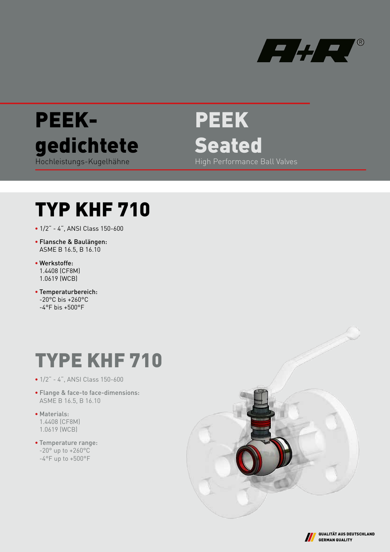



PEEK Seated High Performance Ball Valves

# TYP KHF 710

- 1/2" 4", ANSI Class 150-600
- Flansche & Baulängen: ASME B 16.5, B 16.10
- Werkstoffe: 1.4408 (CF8M) 1.0619 (WCB)
- Temperaturbereich: -20°C bis +260°C  $-4$ °F bis +500°F

# TYPE KHF 710

- 1/2" 4", ANSI Class 150-600
- Flange & face-to face-dimensions: ASME B 16.5, B 16.10
- Materials: 1.4408 (CF8M) 1.0619 (WCB)
- Temperature range: -20° up to +260°C -4°F up to +500°F



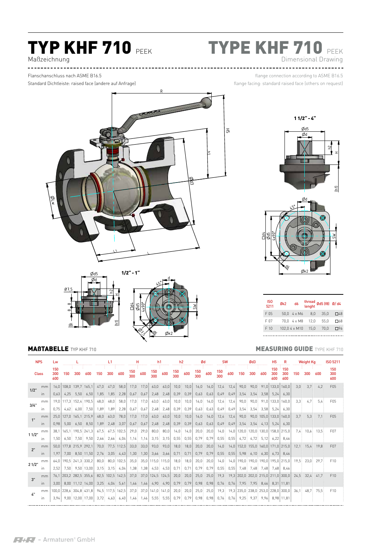# **TYP KHF 710 PEEK**

# TYPE KHF 710 PEEK Dimensional Drawing

Maßzeichnung

Standard Dichtleiste: raised face (andere auf Anfrage)

flange connection according to ASME B16.5 flange facing: standard raised face (others on request)





| <b>NPS</b>   |                         | Lw                |             |                              |                                           |      | 11               |            | н          |      | h1             |                      | h2         |      |            | Ød   |            | <b>SW</b> |                                      | Ød3   |              | H <sub>5</sub>    | R                                  | <b>Weight Kg</b> |      |      | <b>ISO 5211</b>   |
|--------------|-------------------------|-------------------|-------------|------------------------------|-------------------------------------------|------|------------------|------------|------------|------|----------------|----------------------|------------|------|------------|------|------------|-----------|--------------------------------------|-------|--------------|-------------------|------------------------------------|------------------|------|------|-------------------|
| <b>Class</b> |                         | 150<br>300<br>600 | 150         | 300                          | 600                                       | 150  | 300              | 600        | 150<br>300 | 600  | 150<br>300     | 600                  | 150<br>300 | 600  | 150<br>300 | 600  | 150<br>300 | 600       | 150                                  | 300   | 600          | 150<br>300<br>600 | 150<br>300<br>600                  | 150              | 300  | 600  | 150<br>300<br>600 |
| 1/2"         | mm                      |                   |             | 16.0   108.0   139.7   165.1 |                                           | 47.0 | 47.0             | 58.0       | 17.0       | 17.0 | 63.0           | 63.0                 | 10.0       | 10.0 | 16.0       | 16.0 | 12.4       | 12.4      | 90.0                                 | 90.0  | 91.0         | 133.0             | 160.0                              | 3.0              | 3.7  |      | F05               |
|              | In                      |                   |             | $0,63$ 4.25 5.50             | 6,50                                      | 1,85 | 1,85             | 2,28       | 0.67       | 0.67 | 2,48           | 2,48                 | 0,39       | 0,39 | 0.63       | 0,63 | 0.49       | 0.49      | 3,54                                 | 3.54  | 3,58         | 5.24              | 6,30                               |                  |      |      |                   |
| 3/4"         | mm                      |                   |             |                              | 19.0 117.3 152.4 190.5                    | 48,0 | 48,0             | 58,0       | 17,0       | 17,0 | 63,0           | 63,0                 | 10,0       | 10,0 | 16,0       | 16,0 | 12.4       | 12.4      | 90,0                                 | 90,0  | 91,0         | 133.0             | 160.0                              | 3.3              | 4.7  | 5.4  | F05               |
|              | $\mathsf{I}$            | 0.75              | 4.62        | 6,00                         | 7,50                                      | 1.89 | 1.89             | 2,28       | 0,67       | 0.67 | 2,48           | 2,48                 | 0,39       | 0,39 | 0.63       | 0.63 | 0.49       | 0.49      | 3,54                                 | 3,54  | 3.58         | 5.24              | 6.30                               |                  |      |      |                   |
| 1"           | mm                      |                   |             | 25.0 127.0 165.1 215.9       |                                           | 48,0 | 63,0             | 78,0       | 17,0       | 17,0 | 63,0           | 63,0                 | 10,0       | 10,0 | 16,0       | 16,0 | 12.4       | 12.4      | 90,0                                 |       | $90,0$ 105,0 | 133,0             | 160.0                              | 3.7              | 5.3  | 7.1  | F <sub>05</sub>   |
|              | In                      | 0.98              | 5,00        | 6,50                         | 8.50                                      | 1,89 | 2.48             | 3,07       | 0.67       | 0.67 | 2,48           | 2.48                 | 0,39       | 0.39 | 0.63       | 0.63 | 0.49       | 0.49      | 3.54                                 | 3.54  | 4.13         | 5.24              | 6,30                               |                  |      |      |                   |
|              | mm                      |                   |             |                              | 38.1   165.1   190.5   241.3              | 67.5 | 67.5             | 102,5      | 29.0       | 29,0 | 80.0           | 80.0                 | 14.0       | 14,0 | 20.0       | 20,0 | 14,0       | 14,0      | 120.0                                | 120.0 | 130,0        | 158.0             | 215.0                              | 7.4              | 10.6 | 13.5 | F07               |
| 11/2"        | $\mathsf{I}$            | 1.50              | 6.50        | 7.50                         | 9.50                                      | 2,66 | 2,66             | 4.04       | 1.14       | 1,14 | 3,15           | 3,15                 | 0,55       | 0,55 | 0,79       | 0.79 | 0,55       | 0.55      | 4.72                                 | 4.72  | 5.12         | 6.22              | 8.46                               |                  |      |      |                   |
| 2"           | mm                      |                   |             | 50.0 177.8 215.9 292.1       |                                           | 70,0 | 77.5             | 112,5      | 33,0       | 33,0 | 93,0           | 93,0                 | 18,0       | 18,0 | 20,0       | 20,0 | 14,0       | 14.0      | 152,0                                |       |              | 155,0 160,0 171,0 | 215.0                              | 12.1             | 15.4 | 19.8 | F07               |
|              | in.                     | 1,97              | 7,00        |                              | 8,50 11,50                                | 2,76 | 3.05             | 4.43       | 1,30       | 1.30 | 3,66           | 3.66                 | 0.71       | 0.71 | 0.79       | 0.79 | 0.55       | 0.55      | 5.98                                 | 6,10  | 6.30         | 6.73              | 8.46                               |                  |      |      |                   |
|              | mm                      |                   |             |                              | 64.0   190.5   241.3   330.2              | 80.0 |                  | 80,0 102,5 | 35,0       |      | $35,0$   115,0 | 115,0                | 18,0       | 18,0 | 20,0       | 20,0 | 14,0       |           | 14.0   190.0   190.0   190.0   195.0 |       |              |                   | 215.0                              | 19.5             | 23.0 | 29.7 | F10               |
| 21/2"        | $\mathsf{I} \mathsf{D}$ |                   | $2.52$ 7.50 |                              | 9.50 13.00                                | 3.15 | 3.15             | 4.04       | 1,38       | 1,38 | 4,53           | 4,53                 | 0,71       | 0.71 | 0.79       | 0.79 | 0,55       | 0.55      | 7.48                                 | 7.48  | 7.48         | 7.68              | 8.46                               |                  |      |      |                   |
|              | mm                      |                   |             | 76.1   203.2   282.5   355.6 |                                           |      | 82.5 102.5       | 142,5      | 37.0       | 37,0 | 124,5 124,5    |                      | 20,0       | 20,0 | 25,0       | 25,0 | 19.3       |           | 19,3 202,0 202,0 215,0 211,0         |       |              |                   | 300.0                              | 24.5             | 32.4 | 41.7 | F10               |
| 3"           | in.                     | 3.00              |             | 8.00 11.12 14.00             |                                           | 3,25 | 4.04             | 5.61       | 1.46       | 1.46 | 4,90           | 4.90                 | 0.79       | 0.79 | 0.98       | 0,98 | 0.76       | 0.76      | 7.95                                 | 7.95  | 8.46         |                   | 8.31 11.81                         |                  |      |      |                   |
|              | mm                      |                   |             |                              | 100,0 228,6 304,8 431,8                   |      | 94.5 117.5 162.5 |            | 37,0       |      |                | 37,0   141,0   141,0 | 20,0       | 20,0 | 25,0       | 25,0 | 19.3       |           |                                      |       |              |                   | 19,3 235,0 238,0 253,0 228,0 300,0 | 36.1             | 48.7 | 75.5 | F10               |
| $L^{\ast}$   | ın                      |                   |             |                              | 3,94 9,00 12,00 17,00 3,72 4,63 6,40 1,46 |      |                  |            |            | 1,46 | 5,55           | 5,55                 | 0.79       | 0.79 | 0,98       | 0.98 | 0,76       | 0,76      | 9.25                                 | 9.37  | 9.96         |                   | 8,98 11,81                         |                  |      |      |                   |



| IS <sub>0</sub><br>5211 | Øk2  | d6            |      | thread Ød5 (f8) Ø/ d4 |              |
|-------------------------|------|---------------|------|-----------------------|--------------|
| F 05                    | 50.0 | $4 \times M6$ | 8.0  | 35.0                  | $\square$ 48 |
| F 07                    | 70.0 | $4 \times M8$ | 12.0 | 55.0                  | <b>NA8</b>   |
| F 10                    |      | 102.0 4 x M10 | 15.0 | 70.0                  | □96          |
|                         |      |               |      |                       |              |

### **MAßTABELLE** TYP KHF 710 **MEASURING GUIDE** TYPE KHF 710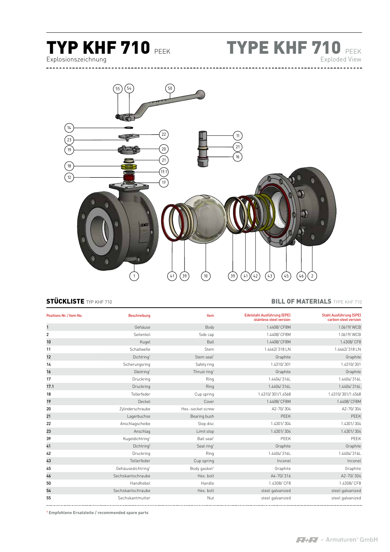

TYPE KHF 710 PEEK Exploded View



### STÜCKLISTE TYP KHF 710 **BILL OF MATERIALS** TYPE KHF 710

| Positions Nr. / Item No. | <b>Beschreibung</b>           | Item                     | Edelstahl Ausführung (EPE)<br>stainless steel version | <b>Stahl Ausführung (SPE)</b><br>carbon steel version |
|--------------------------|-------------------------------|--------------------------|-------------------------------------------------------|-------------------------------------------------------|
| $\mathbf{1}$             | Gehäuse                       | Body                     | 1.4408/ CF8M                                          | 1.0619/WCB                                            |
| $\overline{2}$           | Seitenteil                    | Side cap                 | 1.4408/ CF8M                                          | 1.0619/WCB                                            |
| 10                       | Kugel                         | Ball                     | 1.4408/ CF8M                                          | 1.4308/CF8                                            |
| 11                       | Schaltwelle                   | Stem                     | 1.4462/318 LN                                         | 1.4462/318 LN                                         |
| 12                       | Dichtring <sup>1</sup>        | Stem seal <sup>1</sup>   | Graphite                                              | Graphite                                              |
| 14                       | Sicherungsring                | Safety ring              | 1.4310/301                                            | 1.4310/301                                            |
| 16                       | Gleitring <sup>1</sup>        | Thrust ring <sup>1</sup> | Graphite                                              | Graphite                                              |
| 17                       | Druckring                     | Ring                     | 1.4404/316L                                           | 1.4404/316L                                           |
| 17.1                     | Druckring                     | Ring                     | 1.4404/316L                                           | 1.4404/316L                                           |
| 18                       | Tellerfeder                   | Cup spring               | 1.4310/301/1.4568                                     | 1.4310/301/1.4568                                     |
| 19                       | Deckel                        | Cover                    | 1.4408/ CF8M                                          | 1.4408/ CF8M                                          |
| 20                       | Zylinderschraube              | Hex.-socket screw        | A2-70/304                                             | A2-70/304                                             |
| 21                       | Lagerbuchse                   | Bearing bush             | PEEK                                                  | PEEK                                                  |
| 22                       | Anschlagscheibe               | Stop disc                | 1.4301/304                                            | 1.4301/304                                            |
| 23                       | Anschlag                      | Limit stop               | 1.4301/304                                            | 1.4301/304                                            |
| 39                       | Kugeldichtring <sup>1</sup>   | Ball seat <sup>1</sup>   | PEEK                                                  | PEEK                                                  |
| 41                       | Dichtring <sup>1</sup>        | Seat ring <sup>1</sup>   | Graphite                                              | Graphite                                              |
| 42                       | Druckring                     | Ring                     | 1.4404/316L                                           | 1.4404/316L                                           |
| 43                       | Tellerfeder                   | Cup spring               | Inconel                                               | Inconel                                               |
| 45                       | Gehäusedichtring <sup>1</sup> | Body gasket <sup>1</sup> | Graphite                                              | Graphite                                              |
| 46                       | Sechskantschraube             | Hex. bolt                | A4-70/316                                             | A2-70/304                                             |
| 50                       | Handhebel                     | Handle                   | 1.4308/ CF8                                           | 1.4308/CF8                                            |
| 54                       | Sechskantschraube             | Hex. bolt                | steel galvanized                                      | steel galvanized                                      |
| 55                       | Sechskantmutter               | Nut                      | steel galvanized                                      | steel galvanized                                      |

**Empfohlene Ersatzteile / recommended spare parts**